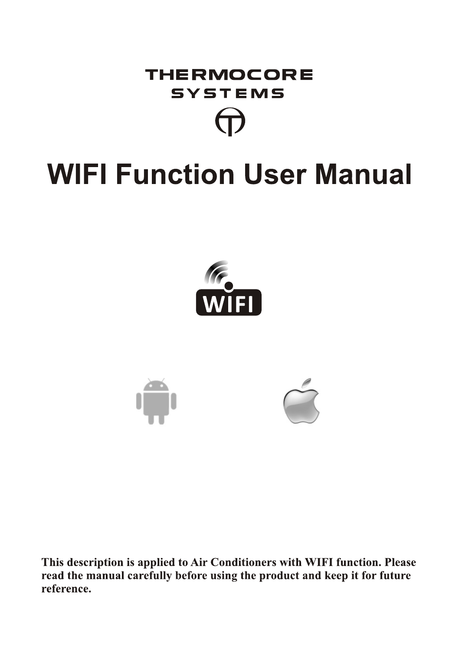

# **WIFI Function User Manual**





This description is applied to Air Conditioners with WIFI function. Please read the manual carefully before using the product and keep it for future reference.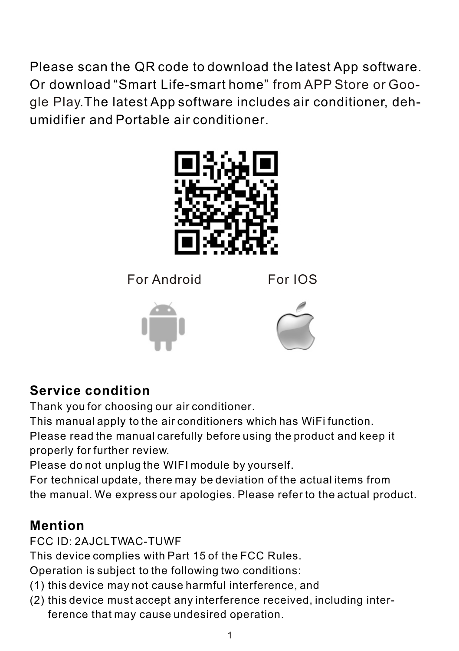Please scan the QR code to download the latest App software. Or download "Smart Life-smart home " from APP Store or Google Play.The latest App software includes air conditioner, dehumidifier and Portable air conditioner.



For Android For IOS

# **Service condition**

Thank you for choosing our air conditioner.

This manual apply to the air conditioners which has WiFi function.

Please read the manual carefully before using the product and keep it properly for further review.

Please do not unplug the WIFI module by yourself.

For technical update, there may be deviation of the actual items from the manual. We express our apologies. Please refer to the actual product.

# **Mention**

FCC ID: 2AJCLTWAC-TUWF

This device complies with Part 15 of the FCC Rules.

Operation is subject to the following two conditions:

- (1) this device may not cause harmful interference, and
- (2) this device must accept any interference received, including inter ference that may cause undesired operation.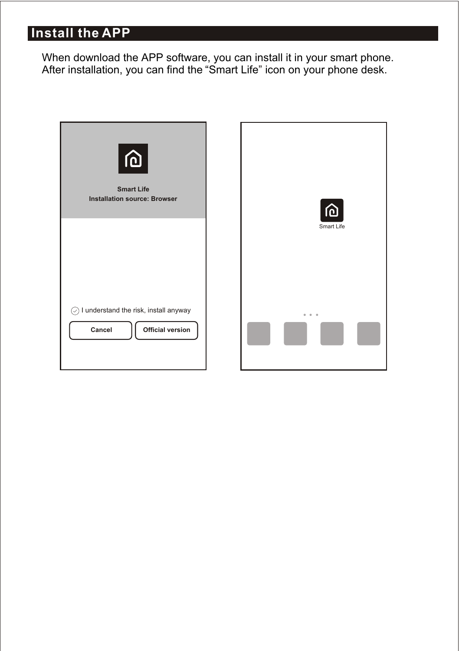# **Install the APP**

 When download the APP software, you can install it in your smart phone. After installation, you can find the "Smart Life" icon on your phone desk.

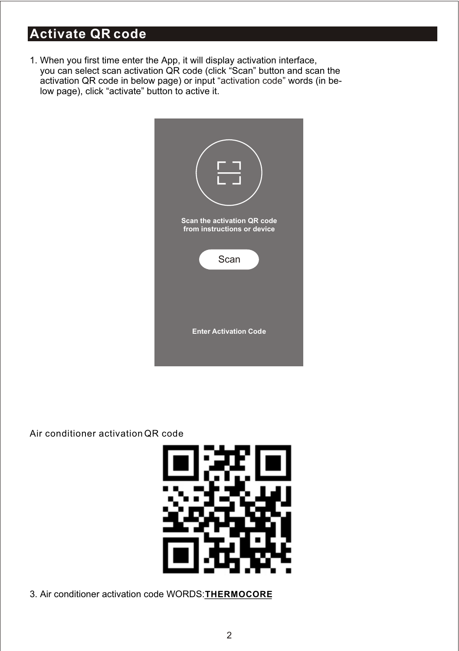# **Activate QR code**

1. When you first time enter the App, it will display activation interface, you can select scan activation QR code (click "Scan" button and scan the activation QR code in below page) or input "activation code" words (in below page), click "activate" button to active it.



Air conditioner activation QR code



3. Air conditioner activation code WORDS: THERMOCORE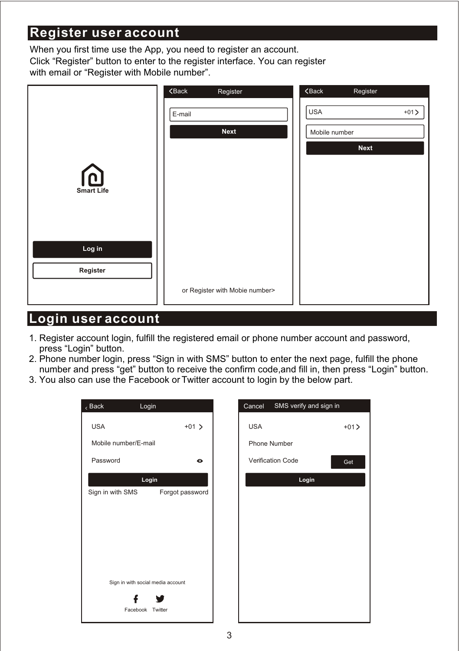### **Register user account**

When you first time use the App, you need to register an account. Click "Register" button to enter to the register interface. You can register with email or "Register with Mobile number".

|                         | $\zeta$ Back<br>Register       | $\zeta$ Back<br>Register |
|-------------------------|--------------------------------|--------------------------|
|                         | E-mail                         | <b>USA</b><br>$+01$      |
|                         | <b>Next</b>                    | Mobile number            |
|                         |                                | Next                     |
| மெ<br><b>Smart Life</b> |                                |                          |
| Log in<br>Register      |                                |                          |
|                         | or Register with Mobie number> |                          |

### **Login user account**

- 1. Register account login, fulfill the registered email or phone number account and password, press "Login" button.
- 2. Phone number login, press "Sign in with SMS" button to enter the next page, fulfill the phone number and press "get" button to receive the confirm code,and fill in, then press "Login" button.
- 3. You also can use the Facebook or Twitter account to login by the below part.

| $\epsilon$ Back      | Login                             |                 | Cancel     | SMS verify and sign in |       |
|----------------------|-----------------------------------|-----------------|------------|------------------------|-------|
| <b>USA</b>           |                                   | $+01$ >         | <b>USA</b> |                        | $+01$ |
| Mobile number/E-mail |                                   |                 |            | Phone Number           |       |
| Password             |                                   | $\bullet$       |            | Verification Code      | Get   |
|                      | Login                             |                 |            | Login                  |       |
| Sign in with SMS     |                                   | Forgot password |            |                        |       |
|                      |                                   |                 |            |                        |       |
|                      |                                   |                 |            |                        |       |
|                      |                                   |                 |            |                        |       |
|                      |                                   |                 |            |                        |       |
|                      |                                   |                 |            |                        |       |
|                      | Sign in with social media account |                 |            |                        |       |
|                      |                                   |                 |            |                        |       |
|                      | Facebook Twitter                  |                 |            |                        |       |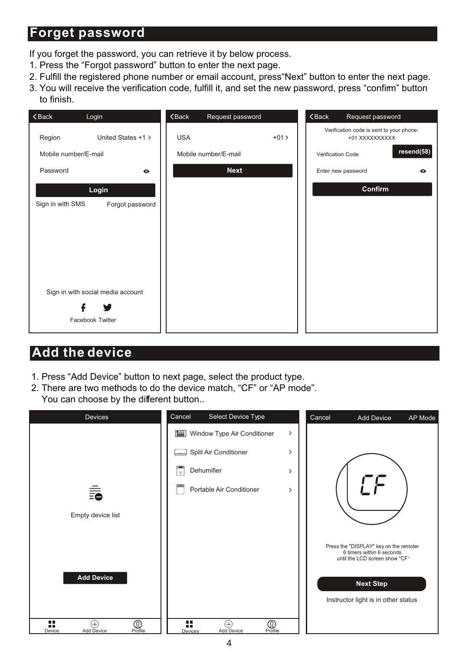### **Forget password**

If you forget the password, you can retrieve it by below process.

- 1. Press the "Forgot password" button to enter the next page.
- 2. Fulfill the registered phone number or email account, press"Next" button to enter the next page.
- 3. You will receive the verification code, fulfill it, and set the new password, press "confirm" button to finish.

| $\zeta$ Back<br>Login               | $Back$<br>Request password | $Back$<br>Request password                                 |
|-------------------------------------|----------------------------|------------------------------------------------------------|
| Region<br>United States +1 >        | <b>USA</b><br>$+01>$       | Verification code is sent to your phone:<br>+01 XXXXXXXXXX |
| Mobile number/E-mail                | Mobile number/E-mail       | resend(58)<br>Verification Code                            |
| Password<br>$\bullet$               | <b>Next</b>                | Enter new password<br>$\bullet$                            |
| Login                               |                            | Confirm                                                    |
| Sign in with SMS<br>Forgot password |                            |                                                            |
|                                     |                            |                                                            |
|                                     |                            |                                                            |
|                                     |                            |                                                            |
|                                     |                            |                                                            |
| Sign in with social media account   |                            |                                                            |
|                                     |                            |                                                            |
| Facebook Twitter                    |                            |                                                            |

### **Add the device**

- 1. Press "Add Device" button to next page, select the product type.
- 2. There are two methods to do the device match, "CF" or "AP mode". You can choose by the different button..

| <b>Devices</b>                                 | Cancel<br>Select Device Type                          |               | Cancel | <b>Add Device</b>                                                                                     | AP Mode |
|------------------------------------------------|-------------------------------------------------------|---------------|--------|-------------------------------------------------------------------------------------------------------|---------|
|                                                | Window Type Air Conditioner<br>昌                      | $\rightarrow$ |        |                                                                                                       |         |
|                                                | Split Air Conditioner<br>لصنا                         | $\rightarrow$ |        |                                                                                                       |         |
|                                                | Dehumifier<br>U.                                      | $\mathcal{P}$ |        |                                                                                                       |         |
| 毳                                              | Portable Air Conditioner                              | $\rightarrow$ |        |                                                                                                       |         |
|                                                |                                                       |               |        |                                                                                                       |         |
| Empty device list                              |                                                       |               |        |                                                                                                       |         |
|                                                |                                                       |               |        | Press the "DISPLAY" key on the remoter<br>6 timers within 6 seconds<br>until the LCD screen show "CF" |         |
| <b>Add Device</b>                              |                                                       |               |        | <b>Next Step</b>                                                                                      |         |
|                                                |                                                       |               |        | Instructor light is in other status                                                                   |         |
| H<br>⚾<br>Ð<br>Profile<br>Add Device<br>Device | ■■<br>⓪<br>Æ<br>m<br>Add Device<br>Profile<br>Devices |               |        |                                                                                                       |         |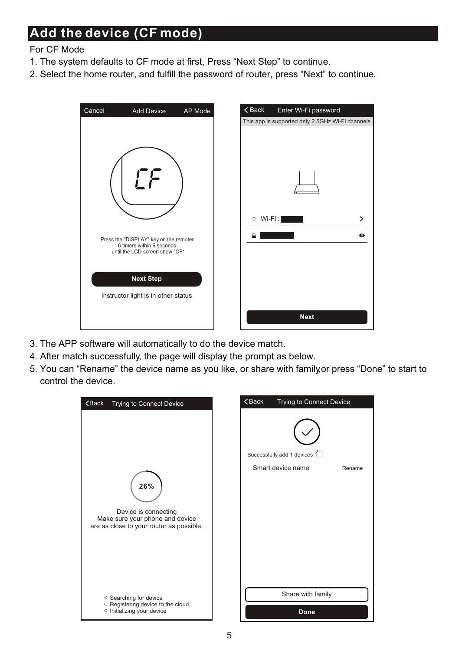# **Add the device (CF mode)**

#### For CF Mode

- 1. The system defaults to CF mode at first, Press "Next Step" to continue.
- 2. Select the home router, and fulfill the password of router, press "Next" to continue.



- 3. The APP software will automatically to do the device match.
- 4. After match successfully, the page will display the prompt as below.
- 5. You can "Rename" the device name as you like, or share with family,or press "Done" to start to control the device.

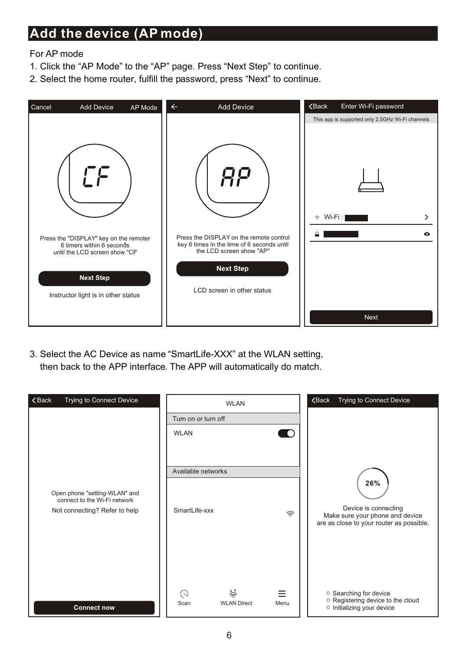### **Add the device (AP mode)**

For AP mode

- 1. Click the "AP Mode" to the "AP" page. Press "Next Step" to continue.
- 2. Select the home router, fulfill the password, press "Next" to continue.



3. Select the AC Device as name "SmartLife-XXX" at the WLAN setting, then back to the APP interface. The APP will automatically do match.

| Trying to Connect Device<br>$\zeta$ Back                                                       | Turn on or turn off<br><b>WLAN</b>  | <b>WLAN</b>             | 0         | Trying to Connect Device<br><b><back< b=""></back<></b>                                                    |
|------------------------------------------------------------------------------------------------|-------------------------------------|-------------------------|-----------|------------------------------------------------------------------------------------------------------------|
| Open phone "setting-WLAN" and<br>connect to the Wi-Fi network<br>Not connecting? Refer to help | Available networks<br>SmartLife-xxx |                         | 佘         | 26%<br>Device is connecting<br>Make sure your phone and device<br>are as close to your router as possible. |
| <b>Connect now</b>                                                                             | C)<br>Scan                          | 佘<br><b>WLAN Direct</b> | Ξ<br>Menu | <sup>O</sup> Searching for device<br>O Registering device to the cloud<br>o Initializing your device       |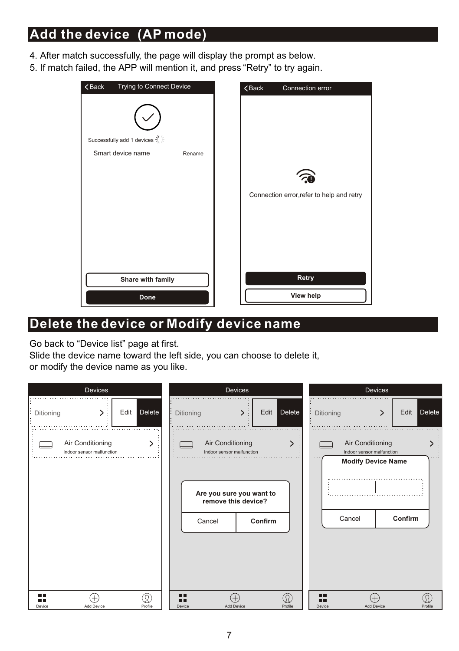# **Add the device (AP mode)**

- 4. After match successfully, the page will display the prompt as below.
- 5. If match failed, the APP will mention it, and press "Retry" to try again.



### **Delete the device or Modify device name**

Go back to "Device list" page at first.

Slide the device name toward the left side, you can choose to delete it, or modify the device name as you like.

| Devices                                       | Devices                                                                                                               | Devices                                                                                         |
|-----------------------------------------------|-----------------------------------------------------------------------------------------------------------------------|-------------------------------------------------------------------------------------------------|
| Edit Delete<br>⋋<br>Ditioning                 | Edit Delete<br>Ditioning                                                                                              | Delete<br>Edit<br>Ditioning                                                                     |
| Air Conditioning<br>Indoor sensor malfunction | Air Conditioning<br>Indoor sensor malfunction<br>Are you sure you want to<br>remove this device?<br>Confirm<br>Cancel | Air Conditioning<br>Indoor sensor malfunction<br><b>Modify Device Name</b><br>Confirm<br>Cancel |
| пΓ<br>R<br>Add Device<br>Profile<br>Device    | ΠГ<br>Ω)<br>Add Device<br>Profile<br>Device                                                                           | ПΓ<br>Add Device<br>Profile<br>Device                                                           |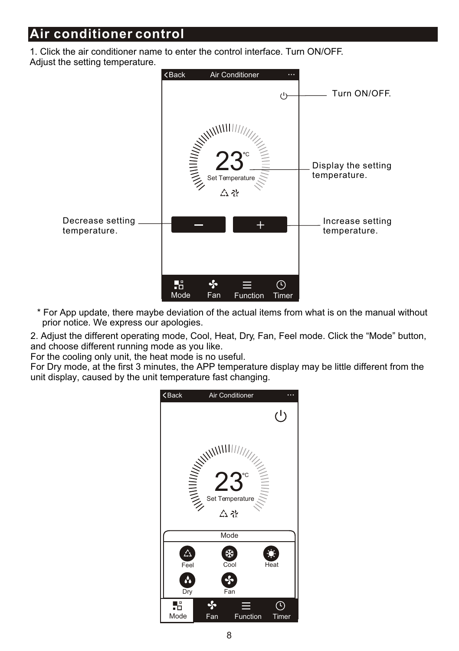1. Click the air conditioner name to enter the control interface. Turn ON/OFF. Adjust the setting temperature.



\* For App update, there maybe deviation of the actual items from what is on the manual without prior notice. We express our apologies.

2. Adjust the different operating mode, Cool, Heat, Dry, Fan, Feel mode. Click the "Mode" button, and choose different running mode as you like.

For the cooling only unit, the heat mode is no useful.

For Dry mode, at the first 3 minutes, the APP temperature display may be little different from the unit display, caused by the unit temperature fast changing.

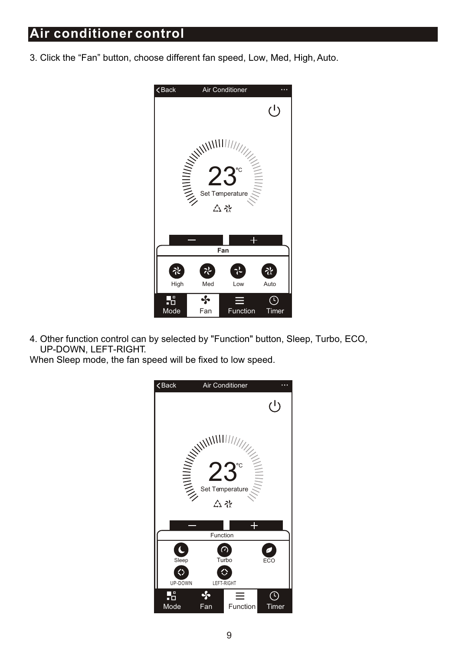3. Click the "Fan" button, choose different fan speed, Low, Med, High, Auto.



4. Other function control can by selected by "Function" button, Sleep, Turbo, ECO, UP-DOWN, LEFT-RIGHT.

When Sleep mode, the fan speed will be fixed to low speed.

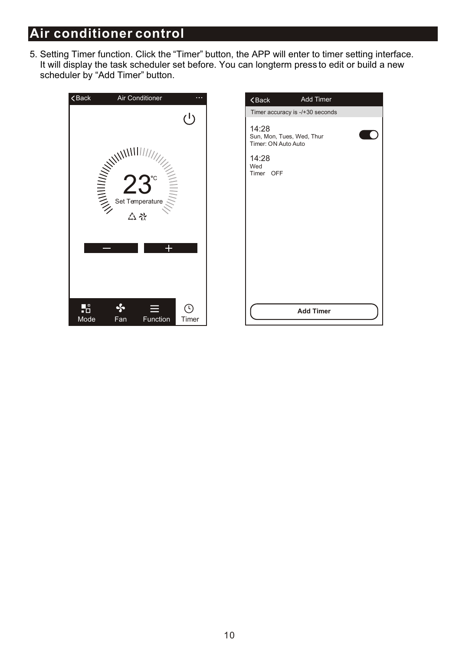5. Setting Timer function. Click the "Timer" button, the APP will enter to timer setting interface. It will display the task scheduler set before. You can longterm press to edit or build a new scheduler by "Add Timer" button.



| $8$ Back                                                  | <b>Add Timer</b>                |  |
|-----------------------------------------------------------|---------------------------------|--|
|                                                           | Timer accuracy is -/+30 seconds |  |
| 14:28<br>Sun, Mon, Tues, Wed, Thur<br>Timer: ON Auto Auto |                                 |  |
| 14:28<br>Wed<br>Timer OFF                                 |                                 |  |
|                                                           |                                 |  |
|                                                           |                                 |  |
|                                                           |                                 |  |
|                                                           |                                 |  |
|                                                           | <b>Add Timer</b>                |  |
|                                                           |                                 |  |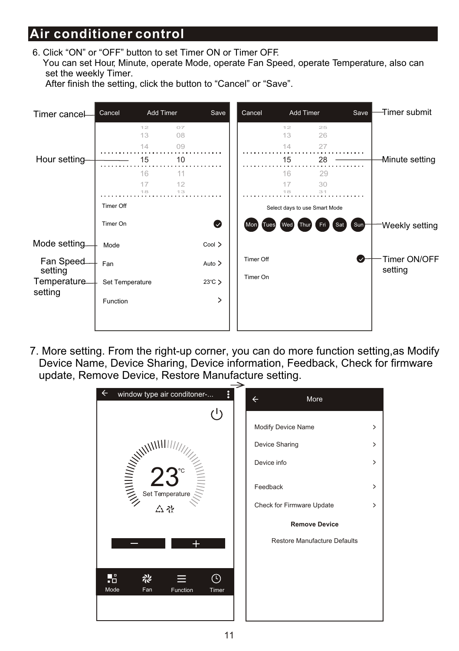6. Click "ON" or "OFF" button to set Timer ON or Timer OFF. You can set Hour, Minute, operate Mode, operate Fan Speed, operate Temperature, also can set the weekly Timer.





7. More setting. From the right-up corner, you can do more function setting,as Modify Device Name, Device Sharing, Device information, Feedback, Check for firmware update, Remove Device, Restore Manufacture setting.

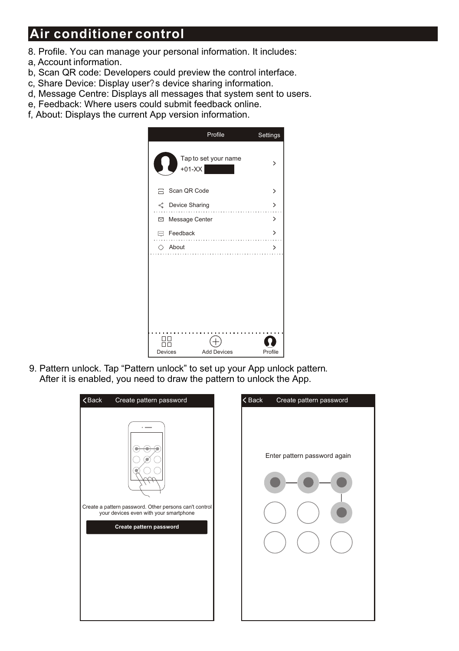- 8. Profile. You can manage your personal information. It includes:
- a, Account information.
- b, Scan QR code: Developers could preview the control interface.
- c, Share Device: Display user?s device sharing information.
- d, Message Centre: Displays all messages that system sent to users.
- e, Feedback: Where users could submit feedback online.
- f, About: Displays the current App version information.



9. Pattern unlock. Tap "Pattern unlock" to set up your App unlock pattern. After it is enabled, you need to draw the pattern to unlock the App.

| $\zeta$ Back                                                                                                                | $\zeta$ Back                 |
|-----------------------------------------------------------------------------------------------------------------------------|------------------------------|
| Create pattern password                                                                                                     | Create pattern password      |
| Create a pattern password. Other persons can't control<br>your devices even with your smartphone<br>Create pattern password | Enter pattern password again |